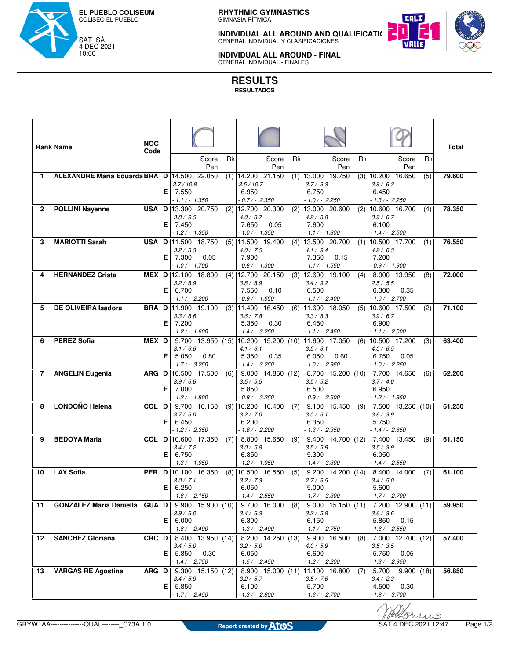

**RHYTHMIC GYMNASTICS**<br>GIMNASIA RÍTMICA

**INDIVIDUAL ALL AROUND AND QUALIFICATIONS**<br>GENERAL INDIVIDUAL Y CLASIFICACIONES



**INDIVIDUAL ALL AROUND - FINAL<br>GENERAL INDIVIDUAL - FINALES** 

**RESULTS**

**RESULTADOS**

|                | <b>Rank Name</b>                            | <b>NOC</b><br>Code |     | Rk<br>Score                                        | Score                                 | Rk  | Score                                  | Rk  | Score                                 | Rk  | Total  |
|----------------|---------------------------------------------|--------------------|-----|----------------------------------------------------|---------------------------------------|-----|----------------------------------------|-----|---------------------------------------|-----|--------|
|                |                                             |                    |     | Pen                                                | Pen                                   |     | Pen                                    |     | Pen                                   |     |        |
| 1              | ALEXANDRE Maria Eduarda BRA D 14.500 22.050 |                    |     | 3.7/10.8                                           | $(1)$ 14.200 21.150<br>3.5/10.7       |     | $(1)$ 13.000 19.750<br>3.7/9.3         | (3) | 10.200 16.650<br>3.9 / 6.3            | (5) | 79.600 |
|                |                                             |                    | Е.  | 7.550                                              | 6.950                                 |     | 6.750                                  |     | 6.450                                 |     |        |
| 2              |                                             |                    |     | - 1.1 / - 1.350<br><b>USA D</b> 13.300 20.750      | $0.7/- 2.350$                         |     | - 1.0 / - 2.250<br>$(2)$ 13.000 20.600 |     | $-1.3/- 2.250$<br>$(2)$ 10.600 16.700 |     | 78.350 |
|                | <b>POLLINI Nayenne</b>                      |                    |     | 3.8 / 9.5                                          | $(2)$ 12.700 20.300<br>4.0 / 8.7      |     | 4.2 / 8.8                              |     | 3.9 / 6.7                             | (4) |        |
|                |                                             |                    |     | E   7.450                                          | 7.650<br>0.05                         |     | 7.600                                  |     | 6.100                                 |     |        |
| 3              | <b>MARIOTTI Sarah</b>                       |                    |     | $-1.2/- 1.350$<br><b>USA D</b> 11.500 18.750       | $-1.0/- 1.350$<br>$(5)$ 11.500 19.400 |     | $-1.1/- 1.300$<br>$(4)$ 13.500 20.700  |     | $-1.4/- 2.500$<br>$(1)$ 10.500 17.700 | (1) | 76.550 |
|                |                                             |                    |     | 3.2 / 8.3                                          | 4.0 / 7.5                             |     | 4.1 / 9.4                              |     | 4.2 / 6.3                             |     |        |
|                |                                             |                    | E.  | 7.300<br>0.05<br>$-1.0/- 1.700$                    | 7.900<br>$0.8/- 1.300$                |     | 7.350<br>0.15<br>$-1.1/- 1.550$        |     | 7.200<br>$0.9/- 1.900$                |     |        |
| 4              | <b>HERNANDEZ Crista</b>                     |                    |     | MEX D 12.100 18.800                                | $(4)$ 12.700 20.150                   |     | $(3)$ 12.600 19.100                    | (4) | 8.000 13.950                          | (8) | 72.000 |
|                |                                             |                    |     | 3.2 / 8.9                                          | 3.8 / 8.9                             |     | 3.4 / 9.2                              |     | 2.5/5.5                               |     |        |
|                |                                             |                    | Е   | 6.700<br>- 1.1 / - 2.200                           | 7.550<br>0.10<br>$0.9/- 1.550$        |     | 6.500<br>$-1.1/- 2.400$                |     | 6.300<br>0.35<br>$-1.0/- 2.700$       |     |        |
| 5              | <b>DE OLIVEIRA Isadora</b>                  |                    |     | <b>BRA D</b> 11.900 19.100<br>(3)                  | 11.400 16.450                         |     | $(6)$ 11.600 18.050                    | (5) | 10.600 17.500                         | (2) | 71.100 |
|                |                                             |                    |     | 3.3 / 8.6                                          | 3.6 / 7.8                             |     | 3.3 / 8.3                              |     | 3.9 / 6.7                             |     |        |
|                |                                             |                    | Е   | 7.200<br>- 1.2 / - 1.600                           | 0.30<br>5.350<br>$-1.4/-3.250$        |     | 6.450<br>$-1.1/- 2.450$                |     | 6.900<br>$-1.1/- 2.000$               |     |        |
| 6              | <b>PEREZ Sofia</b>                          | <b>MEX DI</b>      |     | 9.700 13.950 (15) 10.200 15.200 (10) 11.600 17.050 |                                       |     |                                        | (6) | 10.500 17.200                         | (3) | 63.400 |
|                |                                             |                    | Е   | 3.1 / 6.6<br>5.050<br>0.80                         | 4.1 / 6.1<br>5.350<br>0.35            |     | 3.5/8.1<br>6.050<br>0.60               |     | 4.0 / 6.5<br>6.750<br>0.05            |     |        |
|                |                                             |                    |     | $-1.7/-3.250$                                      | $-1.4/-3.250$                         |     | $-1.0/- 2.950$                         |     | $-1.0/- 2.250$                        |     |        |
| $\overline{7}$ | <b>ANGELIN Eugenia</b>                      |                    |     | ARG D 10.500 17.500<br>(6)                         | $9.000$ 14.850 (12)                   |     | 8.700 15.200 (10)                      |     | 7.700 14.650                          | (6) | 62.200 |
|                |                                             |                    | Е.  | 3.9 / 6.6<br>7.000                                 | 3.5/5.5<br>5.850                      |     | 3.5/5.2<br>6.500                       |     | 3.7/4.0<br>6.950                      |     |        |
|                |                                             |                    |     | $-1.2/- 1.800$                                     | $0.9/- 3.250$                         |     | $0.9/- 2.600$                          |     | - 1.2 / - 1.850                       |     |        |
| 8              | LONDOÑO Helena                              | COL D              |     | 9.700 16.150                                       | $(9)$ 10.200 16.400                   | (7) | 9.100 15.450                           | (9) | 7.500 13.250 (10)                     |     | 61.250 |
|                |                                             |                    | Е   | 3.7/6.0<br>6.450                                   | 3.2 / 7.0<br>6.200                    |     | 3.0 / 6.1<br>6.350                     |     | 3.6 / 3.9<br>5.750                    |     |        |
|                |                                             |                    |     | - 1.2 / - 2.350                                    | $-1.6/- 2.200$                        |     | $-1.3/- 2.350$                         |     | $-1.4/- 2.850$                        |     |        |
| 9              | <b>BEDOYA Maria</b>                         |                    |     | <b>COL D</b> 10.600 17.350<br>(7)<br>3.4 / 7.2     | 8.800 15.650<br>3.0 / 5.8             | (9) | 9.400 14.700 (12)<br>3.5/5.9           |     | 7.400 13.450<br>3.5/3.9               | (9) | 61.150 |
|                |                                             |                    | E.  | 6.750                                              | 6.850                                 |     | 5.300                                  |     | 6.050                                 |     |        |
|                |                                             |                    |     | $-1.3/- 1.950$                                     | - 1.2 / - 1.950                       |     | $-1.4/-3.300$                          |     | $-1.4/- 2.550$                        |     |        |
| 10             | <b>LAY Sofia</b>                            | PER D              |     | 10.100 16.350<br>3.0 / 7.1                         | $(8)$ 10.500 16.550<br>3.2 / 7.3      | (5) | $9.200$ 14.200 (14)<br>2.7/6.5         |     | 8.400 14.000<br>3.4 / 5.0             | (7) | 61.100 |
|                |                                             |                    | Е   | 6.250                                              | 6.050                                 |     | 5.000                                  |     | 5.600                                 |     |        |
|                |                                             |                    |     | - 1.6 / - 2.150                                    | - 1.4 / - 2.550                       |     | - 1.7 / - 3.300                        |     | - 1.7 / - 2.700                       |     |        |
| 11             | <b>GONZALEZ Maria Daniella GUA D</b>        |                    |     | 9.900 15.900 (10)<br>3.9 / 6.0                     | 9.700 16.000<br>3.4 / 6.3             | (8) | $9.000$ 15.150 (11)<br>3.2 / 5.8       |     | 7.200 12.900 (11)<br>3.6 / 3.6        |     | 59.950 |
|                |                                             |                    | Е   | 6.000                                              | 6.300                                 |     | 6.150                                  |     | 0.15<br>5.850                         |     |        |
|                |                                             |                    |     | $-1.6/- 2.400$                                     | $-1.3/- 2.400$                        |     | - 1.1 / - 2.750                        |     | $-1.6/- 2.550$                        |     |        |
| 12             | <b>SANCHEZ Gloriana</b>                     | CRC D              |     | 8.400 13.950 (14)<br>3.4 / 5.0                     | 8.200 14.250 (13)<br>3.2 / 5.0        |     | 9.900 16.500<br>4.0 / 5.9              | (8) | 7.000 12.700 (12)<br>$3.5/$ $3.5$     |     | 57.400 |
|                |                                             |                    | E I | 5.850<br>0.30                                      | 6.050                                 |     | 6.600                                  |     | 0.05<br>5.750                         |     |        |
| 13             | <b>VARGAS RE Agostina</b>                   | ARG D              |     | $-1.4/- 2.750$<br>9.300 15.150 (12)                | $-1.5/- 2.450$<br>8.900 15.000 (11)   |     | $-1.2/- 2.200$<br>11.100 16.800        | (7) | $-1.3/- 2.950$<br>9.900(18)<br>5.700  |     | 56.850 |
|                |                                             |                    |     | 3.4 / 5.9                                          | 3.2 / 5.7                             |     | 3.5 / 7.6                              |     | 3.4 / 2.3                             |     |        |
|                |                                             |                    | Е.  | 5.850                                              | 6.100                                 |     | 5.700                                  |     | 4.500<br>0.30                         |     |        |
|                |                                             |                    |     | - 1.7 / - 2.450                                    | - 1.3 / - 2.600                       |     | - 1.6 / - 2.700                        |     | - 1.8 / - 3.700                       |     |        |

GRYW1AA---------------QUAL---------\_C73A 1.0 Report created by **AtoS** SAT 4 DEC 2021 12:47 Page 1/2

Onrus